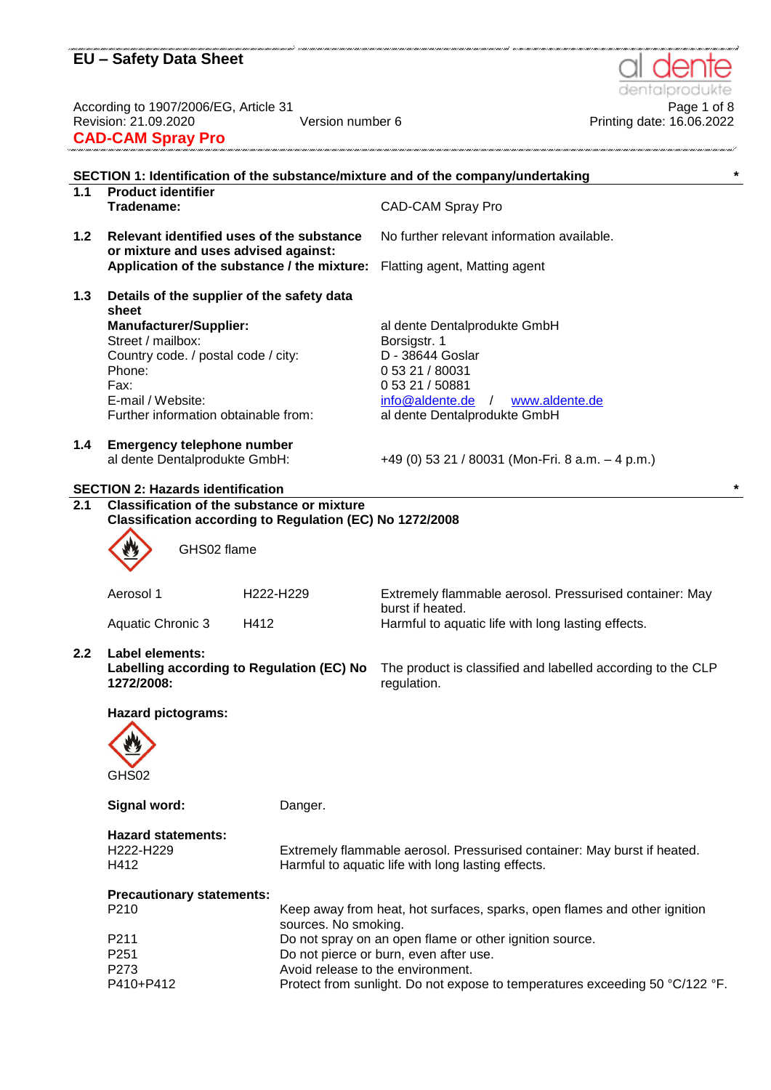According to 1907/2006/EG, Article 31 Page 1 of 8 Revision: 21.09.2020 Version number 6 Printing date: 16.06.2022 **CAD-CAM Spray Pro**

|                  |                                                                                                               |                      | SECTION 1: Identification of the substance/mixture and of the company/undertaking                      |
|------------------|---------------------------------------------------------------------------------------------------------------|----------------------|--------------------------------------------------------------------------------------------------------|
| 1.1              | <b>Product identifier</b><br>Tradename:                                                                       |                      | <b>CAD-CAM Spray Pro</b>                                                                               |
| 1.2              | Relevant identified uses of the substance<br>or mixture and uses advised against:                             |                      | No further relevant information available.                                                             |
|                  | Application of the substance / the mixture:                                                                   |                      | Flatting agent, Matting agent                                                                          |
| 1.3              | Details of the supplier of the safety data<br>sheet                                                           |                      |                                                                                                        |
|                  | <b>Manufacturer/Supplier:</b><br>Street / mailbox:<br>Country code. / postal code / city:<br>Phone:<br>Fax:   |                      | al dente Dentalprodukte GmbH<br>Borsigstr. 1<br>D - 38644 Goslar<br>0 53 21 / 80031<br>0 53 21 / 50881 |
|                  | E-mail / Website:<br>Further information obtainable from:                                                     |                      | info@aldente.de<br>www.aldente.de<br>$\sqrt{2}$<br>al dente Dentalprodukte GmbH                        |
| 1.4              | <b>Emergency telephone number</b><br>al dente Dentalprodukte GmbH:                                            |                      | +49 (0) 53 21 / 80031 (Mon-Fri. 8 a.m. $-$ 4 p.m.)                                                     |
|                  | <b>SECTION 2: Hazards identification</b>                                                                      |                      |                                                                                                        |
| $\overline{2.1}$ | <b>Classification of the substance or mixture</b><br>Classification according to Regulation (EC) No 1272/2008 |                      |                                                                                                        |
|                  |                                                                                                               |                      |                                                                                                        |
|                  | GHS02 flame                                                                                                   |                      |                                                                                                        |
|                  | Aerosol 1                                                                                                     | H222-H229            | Extremely flammable aerosol. Pressurised container: May<br>burst if heated.                            |
|                  | <b>Aquatic Chronic 3</b><br>H412                                                                              |                      | Harmful to aquatic life with long lasting effects.                                                     |
| 2.2              | Label elements:<br>Labelling according to Regulation (EC) No<br>1272/2008:                                    |                      | The product is classified and labelled according to the CLP<br>regulation.                             |
|                  | <b>Hazard pictograms:</b>                                                                                     |                      |                                                                                                        |
|                  | <b>AND</b>                                                                                                    |                      |                                                                                                        |
|                  | GHS02                                                                                                         |                      |                                                                                                        |
|                  | Signal word:                                                                                                  | Danger.              |                                                                                                        |
|                  | <b>Hazard statements:</b>                                                                                     |                      |                                                                                                        |
|                  | H222-H229                                                                                                     |                      | Extremely flammable aerosol. Pressurised container: May burst if heated.                               |
|                  | H412                                                                                                          |                      | Harmful to aquatic life with long lasting effects.                                                     |
|                  | <b>Precautionary statements:</b>                                                                              |                      |                                                                                                        |
|                  | P210                                                                                                          | sources. No smoking. | Keep away from heat, hot surfaces, sparks, open flames and other ignition                              |
|                  | P211                                                                                                          |                      | Do not spray on an open flame or other ignition source.                                                |
|                  | P251                                                                                                          |                      | Do not pierce or burn, even after use.                                                                 |
|                  | P273                                                                                                          |                      | Avoid release to the environment.                                                                      |
|                  | P410+P412                                                                                                     |                      | Protect from sunlight. Do not expose to temperatures exceeding 50 °C/122 °F.                           |



.<br>1997-1999 : 1999 : 1999 : 1999 : 1999 : 1999 : 1999 : 1999 : 1999 : 1999 : 1999 : 1999 : 1999 : 1999 : 1999 :

.<br>De la completa de la completa de la completa de la completa de la completa de la completa de la completa de la

.<br>אחרו למוג'ל מוג'ל מוג'ל מוג'ל מוג'ל מוג'ל מוג'ל מוג'ל מוג'ל מוג'ל מוג'ל מוג'ל מוג'ל מוג'לוג למג'לוגל מוג'לוגל מוג'לוג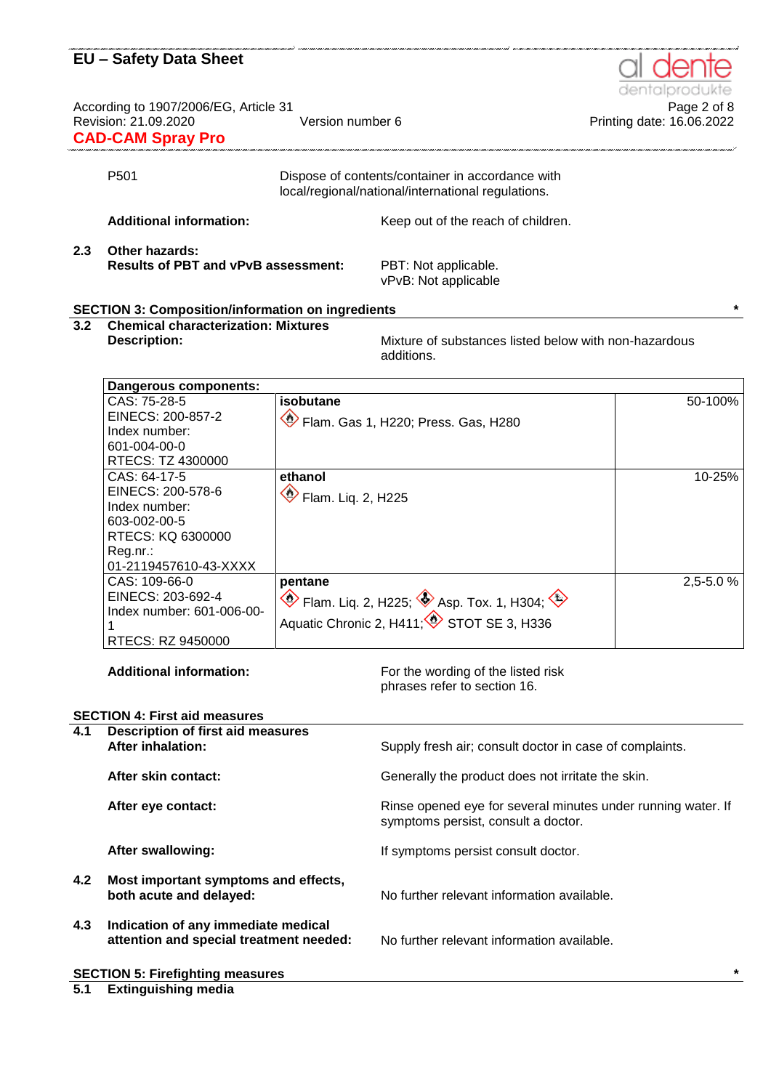According to 1907/2006/EG, Article 31<br>Printing date: 16.06.2022<br>Printing date: 16.06.2022 **CAD-CAM Spray Pro** 

|     | P <sub>501</sub>                                                    | Dispose of contents/container in accordance with<br>local/regional/national/international regulations. |
|-----|---------------------------------------------------------------------|--------------------------------------------------------------------------------------------------------|
|     | <b>Additional information:</b>                                      | Keep out of the reach of children.                                                                     |
| 2.3 | <b>Other hazards:</b><br><b>Results of PBT and vPvB assessment:</b> | PBT: Not applicable.<br>vPvB: Not applicable                                                           |

#### **SECTION 3: Composition/information on ingredients \***

**3.2 Chemical characterization: Mixtures**

**Description:** Mixture of substances listed below with non-hazardous additions.

| Dangerous components:     |                                                                      |               |
|---------------------------|----------------------------------------------------------------------|---------------|
| CAS: 75-28-5              | isobutane                                                            | 50-100%       |
| EINECS: 200-857-2         | Flam. Gas 1, H220; Press. Gas, H280                                  |               |
| Index number:             |                                                                      |               |
| 601-004-00-0              |                                                                      |               |
| RTECS: TZ 4300000         |                                                                      |               |
| CAS: 64-17-5              | ethanol                                                              | 10-25%        |
| EINECS: 200-578-6         | Flam. Liq. 2, H225                                                   |               |
| Index number:             |                                                                      |               |
| 603-002-00-5              |                                                                      |               |
| RTECS: KQ 6300000         |                                                                      |               |
| Reg.nr.:                  |                                                                      |               |
| 01-2119457610-43-XXXX     |                                                                      |               |
| CAS: 109-66-0             | pentane                                                              | $2,5 - 5.0 %$ |
| EINECS: 203-692-4         | $\otimes$ Flam. Liq. 2, H225; $\otimes$ Asp. Tox. 1, H304; $\otimes$ |               |
| Index number: 601-006-00- |                                                                      |               |
|                           | Aquatic Chronic 2, H411; STOT SE 3, H336                             |               |
| RTECS: RZ 9450000         |                                                                      |               |

Additional information: For the wording of the listed risk phrases refer to section 16.

|                                                   | <b>SECTION 4: First aid measures</b>                                           |                                                                                                     |  |
|---------------------------------------------------|--------------------------------------------------------------------------------|-----------------------------------------------------------------------------------------------------|--|
| 4.1                                               | <b>Description of first aid measures</b><br><b>After inhalation:</b>           | Supply fresh air; consult doctor in case of complaints.                                             |  |
|                                                   | After skin contact:                                                            | Generally the product does not irritate the skin.                                                   |  |
|                                                   | After eye contact:                                                             | Rinse opened eye for several minutes under running water. If<br>symptoms persist, consult a doctor. |  |
|                                                   | After swallowing:                                                              | If symptoms persist consult doctor.                                                                 |  |
| 4.2                                               | Most important symptoms and effects,<br>both acute and delayed:                | No further relevant information available.                                                          |  |
| 4.3                                               | Indication of any immediate medical<br>attention and special treatment needed: | No further relevant information available.                                                          |  |
| $\ast$<br><b>SECTION 5: Firefighting measures</b> |                                                                                |                                                                                                     |  |

### **5.1 Extinguishing media**



Printing date: 16.06.2022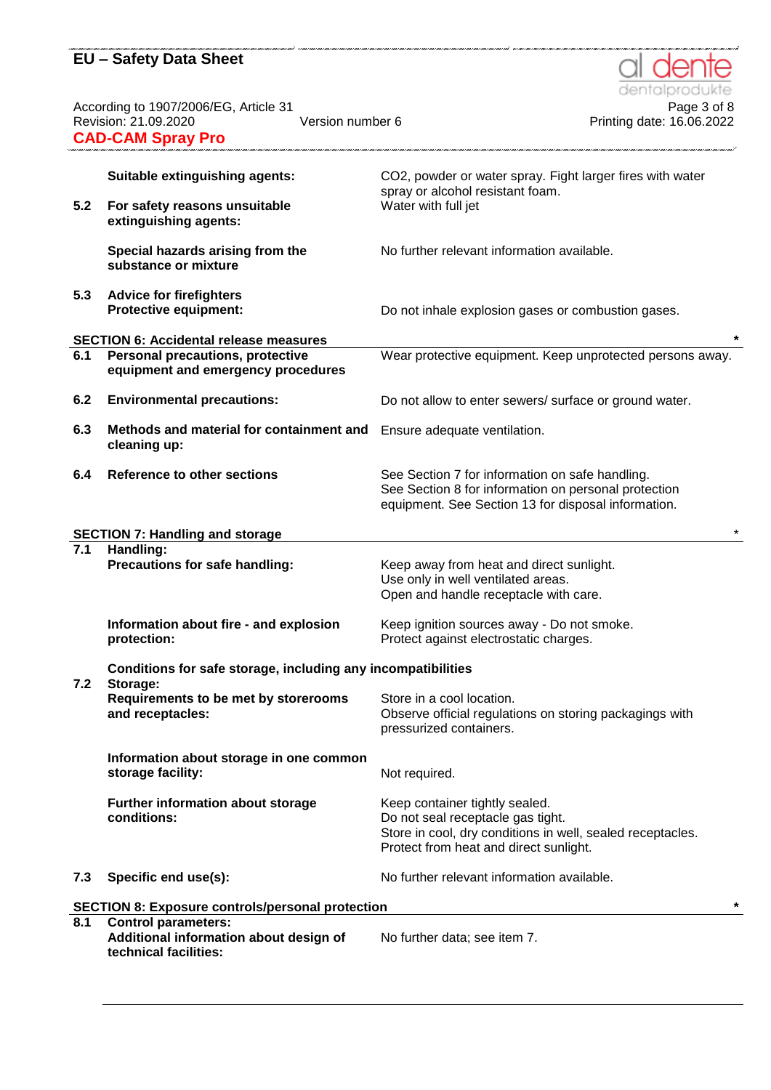According to 1907/2006/EG, Article 31 Page 3 of 8 Revision: 21.09.2020 Version number 6 Printing date: 16.06.2022 **CAD-CAM Spray Pro**

| 5.2 | Suitable extinguishing agents:<br>For safety reasons unsuitable          | CO2, powder or water spray. Fight larger fires with water<br>spray or alcohol resistant foam.<br>Water with full jet                                                        |
|-----|--------------------------------------------------------------------------|-----------------------------------------------------------------------------------------------------------------------------------------------------------------------------|
|     | extinguishing agents:                                                    |                                                                                                                                                                             |
|     | Special hazards arising from the<br>substance or mixture                 | No further relevant information available.                                                                                                                                  |
| 5.3 | <b>Advice for firefighters</b><br><b>Protective equipment:</b>           | Do not inhale explosion gases or combustion gases.                                                                                                                          |
|     | <b>SECTION 6: Accidental release measures</b>                            | $\star$                                                                                                                                                                     |
| 6.1 | Personal precautions, protective<br>equipment and emergency procedures   | Wear protective equipment. Keep unprotected persons away.                                                                                                                   |
| 6.2 | <b>Environmental precautions:</b>                                        | Do not allow to enter sewers/ surface or ground water.                                                                                                                      |
| 6.3 | Methods and material for containment and<br>cleaning up:                 | Ensure adequate ventilation.                                                                                                                                                |
| 6.4 | <b>Reference to other sections</b>                                       | See Section 7 for information on safe handling.<br>See Section 8 for information on personal protection<br>equipment. See Section 13 for disposal information.              |
|     | <b>SECTION 7: Handling and storage</b>                                   |                                                                                                                                                                             |
| 7.1 | Handling:                                                                |                                                                                                                                                                             |
|     | Precautions for safe handling:                                           | Keep away from heat and direct sunlight.<br>Use only in well ventilated areas.<br>Open and handle receptacle with care.                                                     |
|     | Information about fire - and explosion<br>protection:                    | Keep ignition sources away - Do not smoke.<br>Protect against electrostatic charges.                                                                                        |
| 7.2 | Conditions for safe storage, including any incompatibilities<br>Storage: |                                                                                                                                                                             |
|     | Requirements to be met by storerooms<br>and receptacles:                 | Store in a cool location.<br>Observe official regulations on storing packagings with<br>pressurized containers.                                                             |
|     | Information about storage in one common<br>storage facility:             | Not required.                                                                                                                                                               |
|     | Further information about storage<br>conditions:                         | Keep container tightly sealed.<br>Do not seal receptacle gas tight.<br>Store in cool, dry conditions in well, sealed receptacles.<br>Protect from heat and direct sunlight. |
| 7.3 | Specific end use(s):                                                     | No further relevant information available.                                                                                                                                  |
|     | <b>SECTION 8: Exposure controls/personal protection</b>                  | $\star$                                                                                                                                                                     |
| 8.1 | <b>Control parameters:</b>                                               |                                                                                                                                                                             |
|     | Additional information about design of<br>technical facilities:          | No further data; see item 7.                                                                                                                                                |

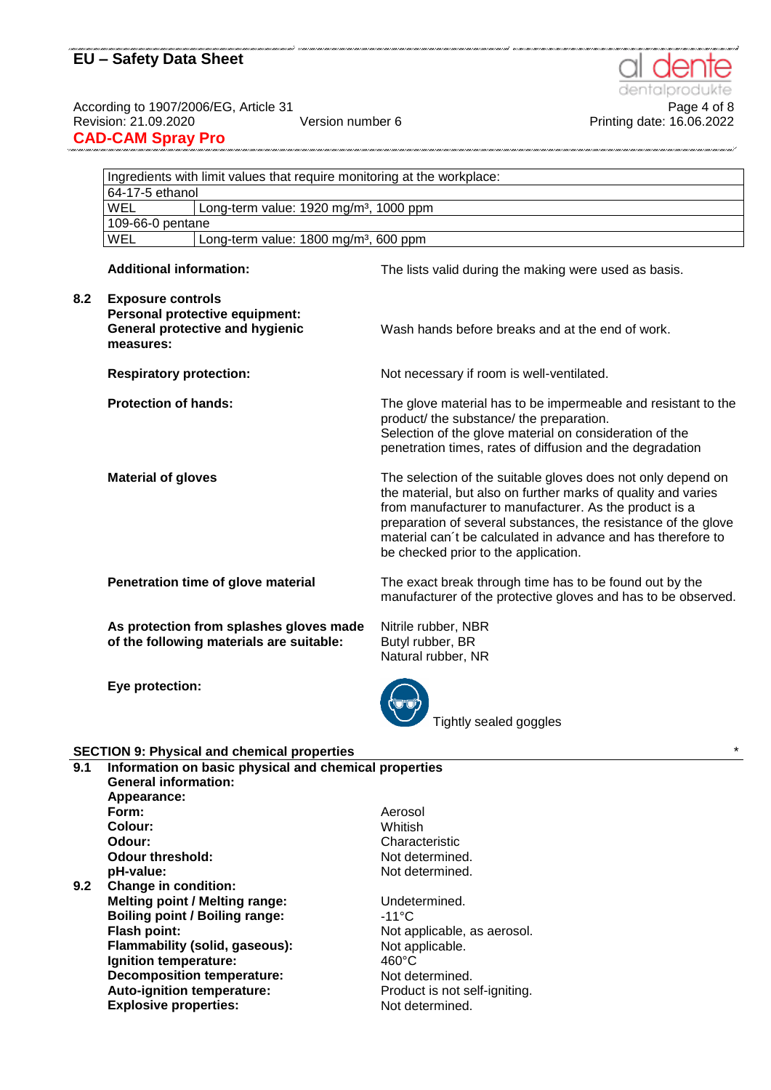According to 1907/2006/EG, Article 31<br>Printing date: 16.06.2022<br>Printing date: 16.06.2022 **CAD-CAM Spray Pro**

|                                                                 | Ingredients with limit values that require monitoring at the workplace:                                           |                                                                                                                                                                                                                                                                                                                                                                   |  |  |
|-----------------------------------------------------------------|-------------------------------------------------------------------------------------------------------------------|-------------------------------------------------------------------------------------------------------------------------------------------------------------------------------------------------------------------------------------------------------------------------------------------------------------------------------------------------------------------|--|--|
|                                                                 | 64-17-5 ethanol                                                                                                   |                                                                                                                                                                                                                                                                                                                                                                   |  |  |
|                                                                 | <b>WEL</b>                                                                                                        | Long-term value: 1920 mg/m <sup>3</sup> , 1000 ppm                                                                                                                                                                                                                                                                                                                |  |  |
| 109-66-0 pentane                                                |                                                                                                                   |                                                                                                                                                                                                                                                                                                                                                                   |  |  |
| <b>WEL</b><br>Long-term value: 1800 mg/m <sup>3</sup> , 600 ppm |                                                                                                                   |                                                                                                                                                                                                                                                                                                                                                                   |  |  |
|                                                                 | <b>Additional information:</b>                                                                                    | The lists valid during the making were used as basis.                                                                                                                                                                                                                                                                                                             |  |  |
| 8.2                                                             | <b>Exposure controls</b><br>Personal protective equipment:<br><b>General protective and hygienic</b><br>measures: | Wash hands before breaks and at the end of work.                                                                                                                                                                                                                                                                                                                  |  |  |
|                                                                 | <b>Respiratory protection:</b>                                                                                    | Not necessary if room is well-ventilated.                                                                                                                                                                                                                                                                                                                         |  |  |
|                                                                 | <b>Protection of hands:</b>                                                                                       | The glove material has to be impermeable and resistant to the<br>product/ the substance/ the preparation.<br>Selection of the glove material on consideration of the<br>penetration times, rates of diffusion and the degradation                                                                                                                                 |  |  |
|                                                                 | <b>Material of gloves</b>                                                                                         | The selection of the suitable gloves does not only depend on<br>the material, but also on further marks of quality and varies<br>from manufacturer to manufacturer. As the product is a<br>preparation of several substances, the resistance of the glove<br>material can't be calculated in advance and has therefore to<br>be checked prior to the application. |  |  |
|                                                                 | Penetration time of glove material                                                                                | The exact break through time has to be found out by the<br>manufacturer of the protective gloves and has to be observed.                                                                                                                                                                                                                                          |  |  |
|                                                                 | As protection from splashes gloves made<br>of the following materials are suitable:                               | Nitrile rubber, NBR<br>Butyl rubber, BR<br>Natural rubber, NR                                                                                                                                                                                                                                                                                                     |  |  |
|                                                                 | Eye protection:                                                                                                   | Tightly sealed goggles                                                                                                                                                                                                                                                                                                                                            |  |  |
|                                                                 | <b>SECTION 9: Physical and chemical properties</b>                                                                |                                                                                                                                                                                                                                                                                                                                                                   |  |  |
| 9.1                                                             | Information on basic physical and chemical properties<br><b>General information:</b><br>Appearance:               |                                                                                                                                                                                                                                                                                                                                                                   |  |  |

**Colour: Odour:** Characteristic<br> **Odour threshold:** Characteristic<br>
Not determined. **Odour threshold: pH-value:** Not determined. **9.2 Change in condition: Melting point / Melting range:** Undetermined. **Boiling point / Boiling range:** -11°C<br>Flash point: Not ap **Flammability (solid, gaseous): Ignition temperature:** 460°C<br> **Decomposition temperature:** Not determined.

**Auto-ignition temperature:** 

**Form:**

Not applicable, as aerosol.<br>Not applicable. **Decomposition temperature:** Not determined.<br> **Auto-ignition temperature:** Product is not self-igniting. **Explosive properties:** Not determined.

Aerosol Whitish



Printing date: 16.06.2022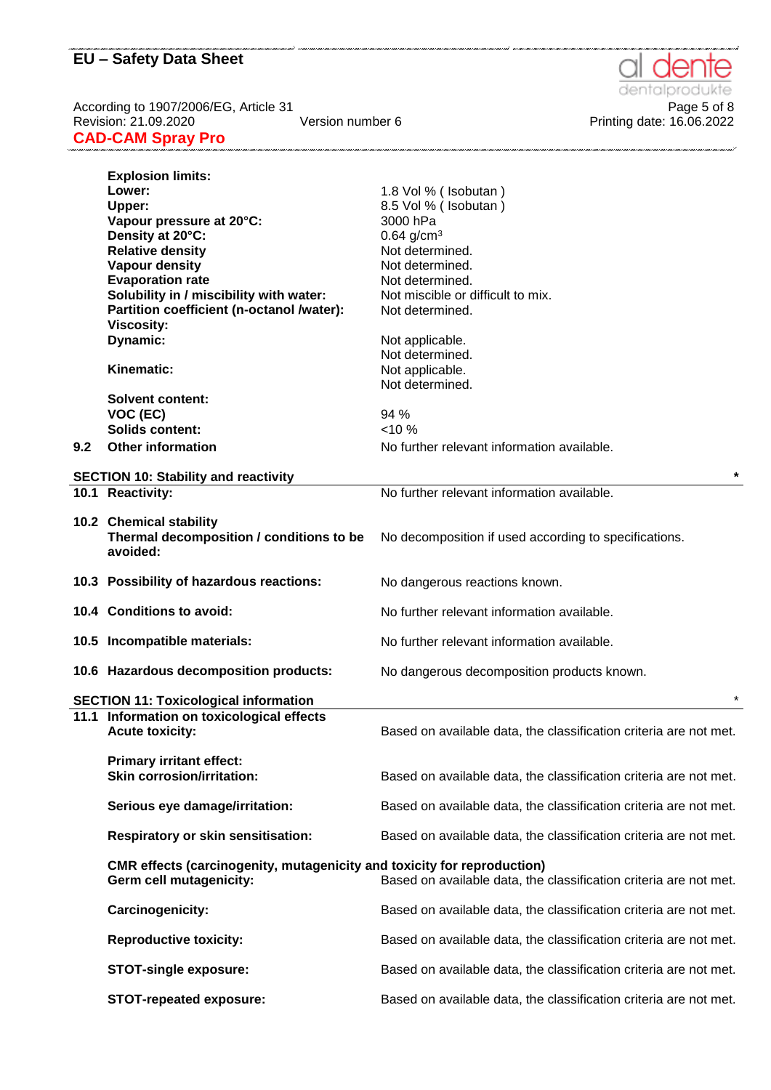According to 1907/2006/EG, Article 31 Page 5 of 8 Revision: 21.09.2020 Version number 6 Printing date: 16.06.2022 **CAD-CAM Spray Pro**

|     | <b>Explosion limits:</b>                                                       |                                                                   |
|-----|--------------------------------------------------------------------------------|-------------------------------------------------------------------|
|     | Lower:                                                                         | 1.8 Vol % (Isobutan)                                              |
|     | Upper:                                                                         | 8.5 Vol % (Isobutan)                                              |
|     | Vapour pressure at 20°C:                                                       | 3000 hPa                                                          |
|     | Density at 20°C:                                                               | $0.64$ g/cm <sup>3</sup>                                          |
|     | <b>Relative density</b>                                                        | Not determined.                                                   |
|     | Vapour density                                                                 | Not determined.                                                   |
|     | <b>Evaporation rate</b>                                                        | Not determined.                                                   |
|     | Solubility in / miscibility with water:                                        | Not miscible or difficult to mix.                                 |
|     | Partition coefficient (n-octanol /water):                                      | Not determined.                                                   |
|     | <b>Viscosity:</b>                                                              |                                                                   |
|     | Dynamic:                                                                       |                                                                   |
|     |                                                                                | Not applicable.<br>Not determined.                                |
|     | Kinematic:                                                                     |                                                                   |
|     |                                                                                | Not applicable.                                                   |
|     |                                                                                | Not determined.                                                   |
|     | <b>Solvent content:</b>                                                        |                                                                   |
|     | VOC (EC)                                                                       | 94 %                                                              |
|     | <b>Solids content:</b>                                                         | $< 10 \%$                                                         |
| 9.2 | <b>Other information</b>                                                       | No further relevant information available.                        |
|     |                                                                                |                                                                   |
|     | <b>SECTION 10: Stability and reactivity</b>                                    |                                                                   |
|     | 10.1 Reactivity:                                                               | No further relevant information available.                        |
|     |                                                                                |                                                                   |
|     | 10.2 Chemical stability                                                        |                                                                   |
|     | Thermal decomposition / conditions to be                                       | No decomposition if used according to specifications.             |
|     | avoided:                                                                       |                                                                   |
|     |                                                                                |                                                                   |
|     | 10.3 Possibility of hazardous reactions:                                       | No dangerous reactions known.                                     |
|     |                                                                                |                                                                   |
|     | 10.4 Conditions to avoid:                                                      | No further relevant information available.                        |
|     |                                                                                |                                                                   |
|     | 10.5 Incompatible materials:                                                   | No further relevant information available.                        |
|     | 10.6 Hazardous decomposition products:                                         | No dangerous decomposition products known.                        |
|     |                                                                                |                                                                   |
|     | <b>SECTION 11: Toxicological information</b>                                   |                                                                   |
|     | 11.1 Information on toxicological effects                                      |                                                                   |
|     | <b>Acute toxicity:</b>                                                         | Based on available data, the classification criteria are not met. |
|     |                                                                                |                                                                   |
|     | <b>Primary irritant effect:</b>                                                |                                                                   |
|     | <b>Skin corrosion/irritation:</b>                                              | Based on available data, the classification criteria are not met. |
|     |                                                                                |                                                                   |
|     | Serious eye damage/irritation:                                                 | Based on available data, the classification criteria are not met. |
|     |                                                                                |                                                                   |
|     | <b>Respiratory or skin sensitisation:</b>                                      | Based on available data, the classification criteria are not met. |
|     |                                                                                |                                                                   |
|     | <b>CMR</b> effects (carcinogenity, mutagenicity and toxicity for reproduction) |                                                                   |
|     | Germ cell mutagenicity:                                                        | Based on available data, the classification criteria are not met. |
|     |                                                                                |                                                                   |
|     | Carcinogenicity:                                                               | Based on available data, the classification criteria are not met. |
|     |                                                                                |                                                                   |
|     | <b>Reproductive toxicity:</b>                                                  | Based on available data, the classification criteria are not met. |
|     |                                                                                |                                                                   |
|     | <b>STOT-single exposure:</b>                                                   | Based on available data, the classification criteria are not met. |
|     |                                                                                |                                                                   |
|     | <b>STOT-repeated exposure:</b>                                                 | Based on available data, the classification criteria are not met. |
|     |                                                                                |                                                                   |



.<br>In the contract of the contract of the contract of the contract of the contract of the contract of the contract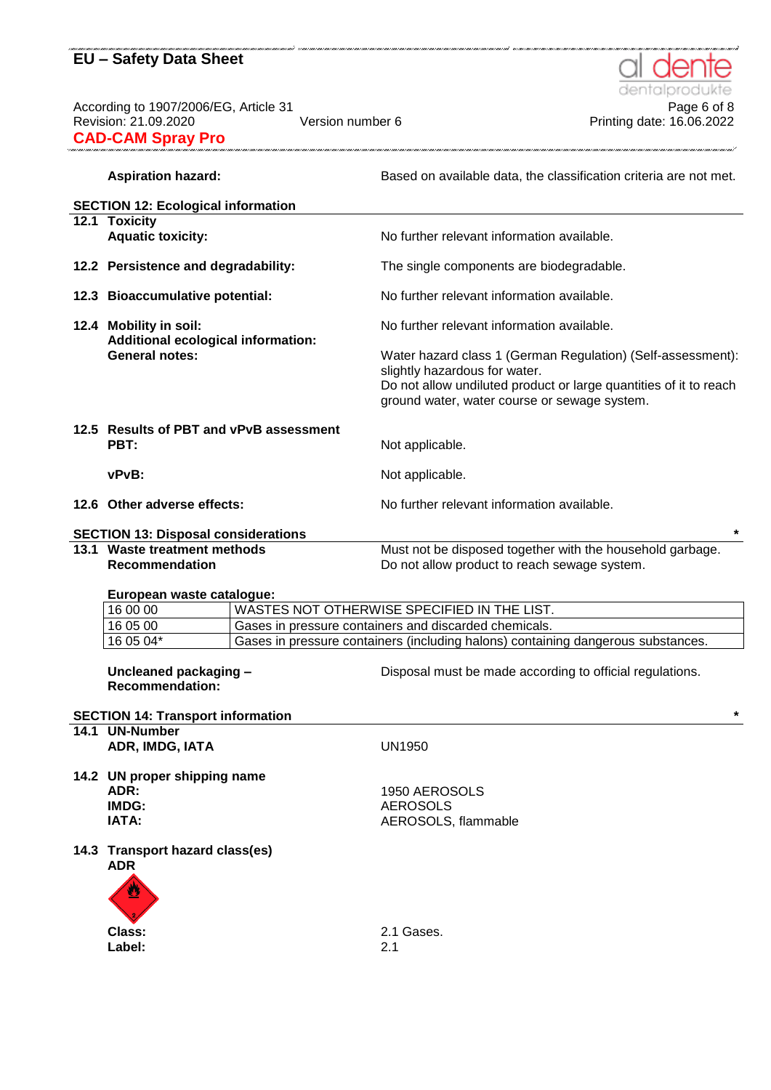According to 1907/2006/EG, Article 31<br>Printing date: 16.06.2022<br>Printing date: 16.06.2022 **CAD-CAM Spray Pro** 

# dentalpr

.<br>Nan o mao o mao o mao o mao o mao o mao o mao o mao o mao o mao o mao o mao o mao o mao o mao o mao o mao F

Printing date: 16.06.2022

Aspiration hazard: **Based on available data, the classification criteria are not met.** 

|                                                             | <b>SECTION 12: Ecological information</b>              |  |                                                                                                                                                                                                                   |
|-------------------------------------------------------------|--------------------------------------------------------|--|-------------------------------------------------------------------------------------------------------------------------------------------------------------------------------------------------------------------|
|                                                             | 12.1 Toxicity                                          |  |                                                                                                                                                                                                                   |
|                                                             | <b>Aquatic toxicity:</b>                               |  | No further relevant information available.                                                                                                                                                                        |
|                                                             | 12.2 Persistence and degradability:                    |  | The single components are biodegradable.                                                                                                                                                                          |
|                                                             | 12.3 Bioaccumulative potential:                        |  | No further relevant information available.                                                                                                                                                                        |
|                                                             | 12.4 Mobility in soil:                                 |  | No further relevant information available.                                                                                                                                                                        |
| Additional ecological information:<br><b>General notes:</b> |                                                        |  | Water hazard class 1 (German Regulation) (Self-assessment):<br>slightly hazardous for water.<br>Do not allow undiluted product or large quantities of it to reach<br>ground water, water course or sewage system. |
|                                                             | 12.5 Results of PBT and vPvB assessment<br>PBT:        |  | Not applicable.                                                                                                                                                                                                   |
|                                                             | vPvB:                                                  |  | Not applicable.                                                                                                                                                                                                   |
|                                                             | 12.6 Other adverse effects:                            |  | No further relevant information available.                                                                                                                                                                        |
|                                                             | <b>SECTION 13: Disposal considerations</b>             |  |                                                                                                                                                                                                                   |
|                                                             | 13.1 Waste treatment methods                           |  | Must not be disposed together with the household garbage.                                                                                                                                                         |
|                                                             | Recommendation                                         |  | Do not allow product to reach sewage system.                                                                                                                                                                      |
|                                                             | European waste catalogue:                              |  |                                                                                                                                                                                                                   |
|                                                             | 16 00 00                                               |  | WASTES NOT OTHERWISE SPECIFIED IN THE LIST.                                                                                                                                                                       |
|                                                             | 16 05 00                                               |  | Gases in pressure containers and discarded chemicals.                                                                                                                                                             |
|                                                             | 16 05 04*                                              |  | Gases in pressure containers (including halons) containing dangerous substances.                                                                                                                                  |
|                                                             | Uncleaned packaging -<br><b>Recommendation:</b>        |  | Disposal must be made according to official regulations.                                                                                                                                                          |
|                                                             | <b>SECTION 14: Transport information</b>               |  | $\star$                                                                                                                                                                                                           |
|                                                             | 14.1 UN-Number                                         |  |                                                                                                                                                                                                                   |
|                                                             | ADR, IMDG, IATA                                        |  | UN1950                                                                                                                                                                                                            |
|                                                             | 14.2 UN proper shipping name<br>ADR:<br>IMDG:<br>IATA: |  | 1950 AEROSOLS<br><b>AEROSOLS</b><br>AEROSOLS, flammable                                                                                                                                                           |
|                                                             | 14.3 Transport hazard class(es)<br><b>ADR</b>          |  |                                                                                                                                                                                                                   |
|                                                             | Class:<br>Label:                                       |  | 2.1 Gases.<br>2.1                                                                                                                                                                                                 |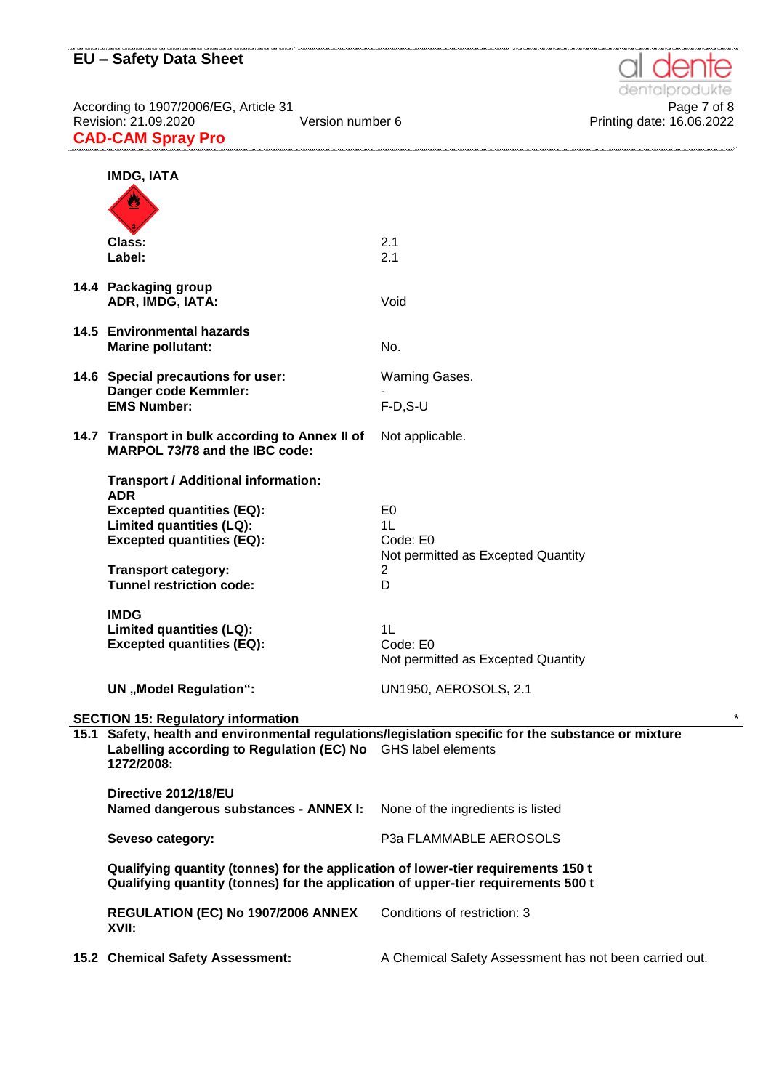dentalpro te

| <b>IMDG, IATA</b>                                                                                                                                                      |                                                                                                     |
|------------------------------------------------------------------------------------------------------------------------------------------------------------------------|-----------------------------------------------------------------------------------------------------|
|                                                                                                                                                                        |                                                                                                     |
| Class:<br>Label:                                                                                                                                                       | 2.1<br>2.1                                                                                          |
| 14.4 Packaging group<br>ADR, IMDG, IATA:                                                                                                                               | Void                                                                                                |
| 14.5 Environmental hazards<br><b>Marine pollutant:</b>                                                                                                                 | No.                                                                                                 |
| 14.6 Special precautions for user:                                                                                                                                     | Warning Gases.                                                                                      |
| Danger code Kemmler:<br><b>EMS Number:</b>                                                                                                                             | $F-D, S-U$                                                                                          |
| 14.7 Transport in bulk according to Annex II of<br>MARPOL 73/78 and the IBC code:                                                                                      | Not applicable.                                                                                     |
| <b>Transport / Additional information:</b>                                                                                                                             |                                                                                                     |
| <b>ADR</b><br><b>Excepted quantities (EQ):</b>                                                                                                                         | E0                                                                                                  |
| Limited quantities (LQ):                                                                                                                                               | 1 <sub>L</sub>                                                                                      |
| <b>Excepted quantities (EQ):</b>                                                                                                                                       | Code: E0                                                                                            |
| <b>Transport category:</b><br><b>Tunnel restriction code:</b>                                                                                                          | Not permitted as Excepted Quantity<br>2<br>D                                                        |
| <b>IMDG</b><br>Limited quantities (LQ):<br><b>Excepted quantities (EQ):</b>                                                                                            | 1 <sub>L</sub><br>Code: E0<br>Not permitted as Excepted Quantity                                    |
| <b>UN</b> "Model Regulation":                                                                                                                                          | <b>UN1950, AEROSOLS, 2.1</b>                                                                        |
| <b>SECTION 15: Regulatory information</b>                                                                                                                              |                                                                                                     |
| Labelling according to Regulation (EC) No GHS label elements<br>1272/2008:                                                                                             | 15.1 Safety, health and environmental regulations/legislation specific for the substance or mixture |
| Directive 2012/18/EU<br>Named dangerous substances - ANNEX I:                                                                                                          | None of the ingredients is listed                                                                   |
| Seveso category:                                                                                                                                                       | P3a FLAMMABLE AEROSOLS                                                                              |
| Qualifying quantity (tonnes) for the application of lower-tier requirements 150 t<br>Qualifying quantity (tonnes) for the application of upper-tier requirements 500 t |                                                                                                     |
| REGULATION (EC) No 1907/2006 ANNEX<br>XVII:                                                                                                                            | Conditions of restriction: 3                                                                        |
| 15.2 Chemical Safety Assessment:                                                                                                                                       | A Chemical Safety Assessment has not been carried out.                                              |